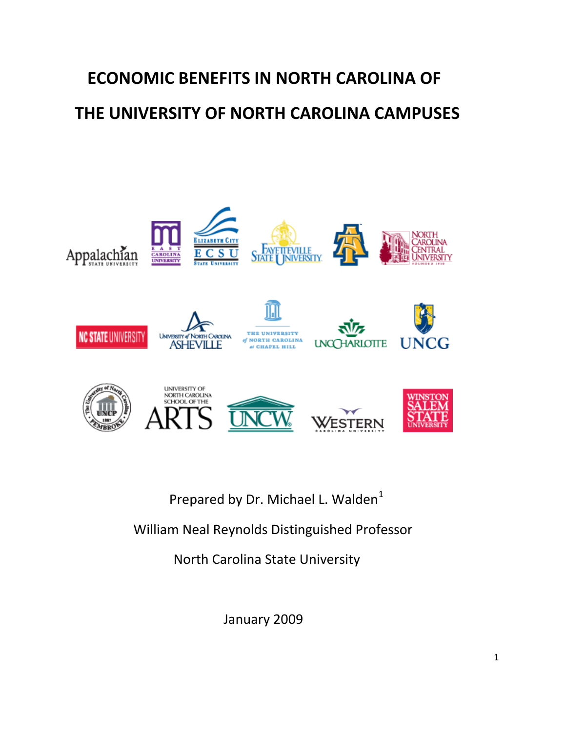# **ECONOMIC BENEFITS IN NORTH CAROLINA OF THE UNIVERSITY OF NORTH CAROLINA CAMPUSES**



Prepared by Dr. Michael L. Walden<sup>[1](#page-3-0)</sup>

William Neal Reynolds Distinguished Professor

North Carolina State University

January 2009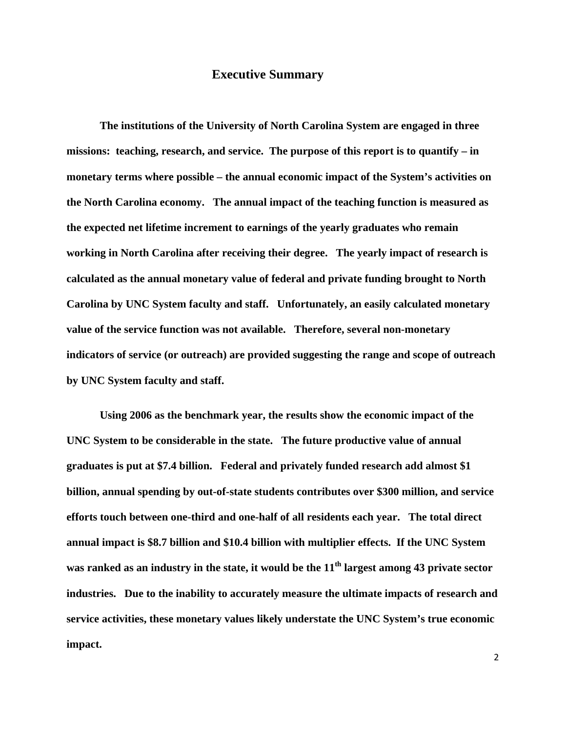#### **Executive Summary**

 **The institutions of the University of North Carolina System are engaged in three missions: teaching, research, and service. The purpose of this report is to quantify – in monetary terms where possible – the annual economic impact of the System's activities on the North Carolina economy. The annual impact of the teaching function is measured as the expected net lifetime increment to earnings of the yearly graduates who remain working in North Carolina after receiving their degree. The yearly impact of research is calculated as the annual monetary value of federal and private funding brought to North Carolina by UNC System faculty and staff. Unfortunately, an easily calculated monetary value of the service function was not available. Therefore, several non-monetary indicators of service (or outreach) are provided suggesting the range and scope of outreach by UNC System faculty and staff.** 

 **Using 2006 as the benchmark year, the results show the economic impact of the UNC System to be considerable in the state. The future productive value of annual graduates is put at \$7.4 billion. Federal and privately funded research add almost \$1 billion, annual spending by out-of-state students contributes over \$300 million, and service efforts touch between one-third and one-half of all residents each year. The total direct annual impact is \$8.7 billion and \$10.4 billion with multiplier effects. If the UNC System**  was ranked as an industry in the state, it would be the 11<sup>th</sup> largest among 43 private sector **industries. Due to the inability to accurately measure the ultimate impacts of research and service activities, these monetary values likely understate the UNC System's true economic impact.**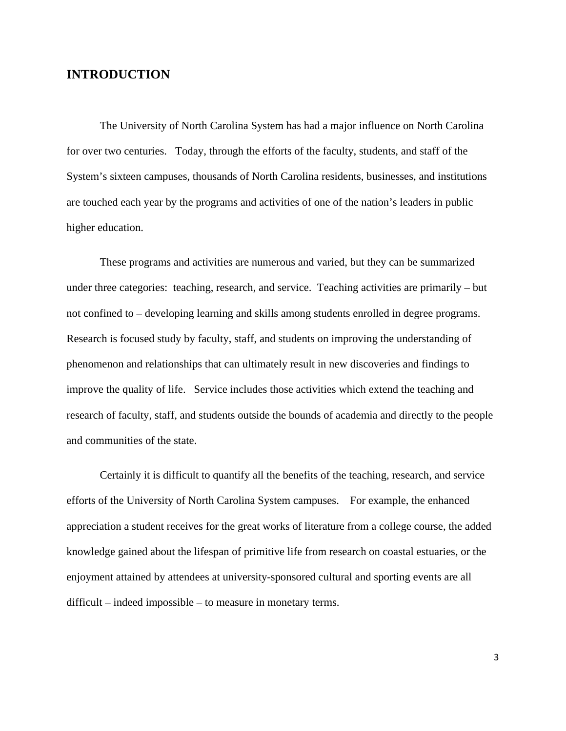### **INTRODUCTION**

The University of North Carolina System has had a major influence on North Carolina for over two centuries. Today, through the efforts of the faculty, students, and staff of the System's sixteen campuses, thousands of North Carolina residents, businesses, and institutions are touched each year by the programs and activities of one of the nation's leaders in public higher education.

 These programs and activities are numerous and varied, but they can be summarized under three categories: teaching, research, and service. Teaching activities are primarily – but not confined to – developing learning and skills among students enrolled in degree programs. Research is focused study by faculty, staff, and students on improving the understanding of phenomenon and relationships that can ultimately result in new discoveries and findings to improve the quality of life. Service includes those activities which extend the teaching and research of faculty, staff, and students outside the bounds of academia and directly to the people and communities of the state.

 Certainly it is difficult to quantify all the benefits of the teaching, research, and service efforts of the University of North Carolina System campuses. For example, the enhanced appreciation a student receives for the great works of literature from a college course, the added knowledge gained about the lifespan of primitive life from research on coastal estuaries, or the enjoyment attained by attendees at university-sponsored cultural and sporting events are all difficult – indeed impossible – to measure in monetary terms.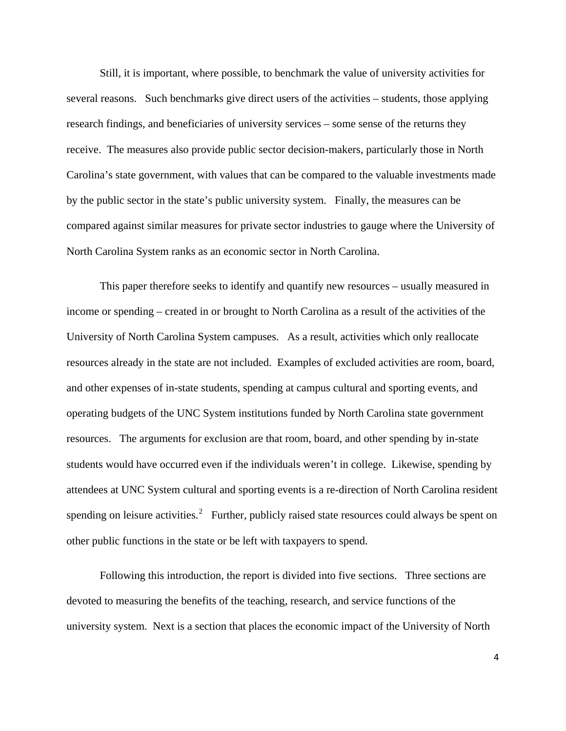<span id="page-3-1"></span><span id="page-3-0"></span> Still, it is important, where possible, to benchmark the value of university activities for several reasons. Such benchmarks give direct users of the activities – students, those applying research findings, and beneficiaries of university services – some sense of the returns they receive. The measures also provide public sector decision-makers, particularly those in North Carolina's state government, with values that can be compared to the valuable investments made by the public sector in the state's public university system. Finally, the measures can be compared against similar measures for private sector industries to gauge where the University of North Carolina System ranks as an economic sector in North Carolina.

 This paper therefore seeks to identify and quantify new resources – usually measured in income or spending – created in or brought to North Carolina as a result of the activities of the University of North Carolina System campuses. As a result, activities which only reallocate resources already in the state are not included. Examples of excluded activities are room, board, and other expenses of in-state students, spending at campus cultural and sporting events, and operating budgets of the UNC System institutions funded by North Carolina state government resources. The arguments for exclusion are that room, board, and other spending by in-state students would have occurred even if the individuals weren't in college. Likewise, spending by attendees at UNC System cultural and sporting events is a re-direction of North Carolina resident spending on leisure activities.<sup>[2](#page-3-1)</sup> Further, publicly raised state resources could always be spent on other public functions in the state or be left with taxpayers to spend.

 Following this introduction, the report is divided into five sections. Three sections are devoted to measuring the benefits of the teaching, research, and service functions of the university system. Next is a section that places the economic impact of the University of North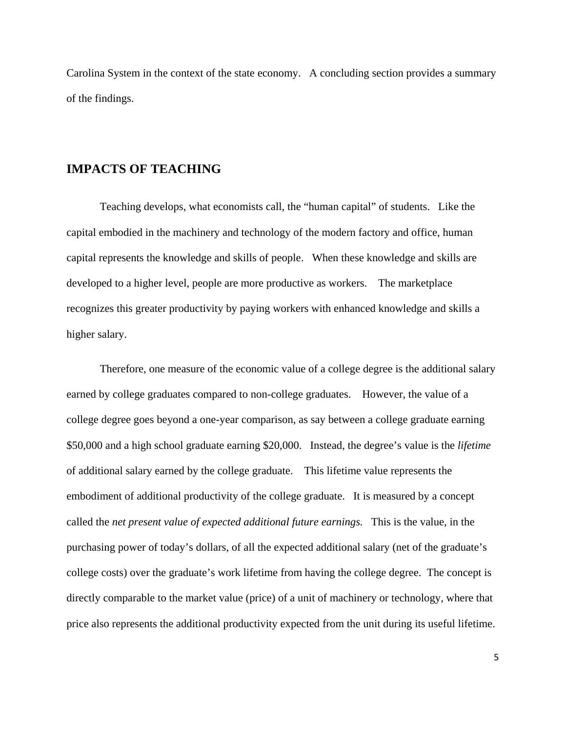<span id="page-4-0"></span>Carolina System in the context of the state economy. A concluding section provides a summary of the findings.

### **IMPACTS OF TEACHING**

Teaching develops, what economists call, the "human capital" of students. Like the capital embodied in the machinery and technology of the modern factory and office, human capital represents the knowledge and skills of people. When these knowledge and skills are developed to a higher level, people are more productive as workers. The marketplace recognizes this greater productivity by paying workers with enhanced knowledge and skills a higher salary.

 Therefore, one measure of the economic value of a college degree is the additional salary earned by college graduates compared to non-college graduates. However, the value of a college degree goes beyond a one-year comparison, as say between a college graduate earning \$50,000 and a high school graduate earning \$20,000. Instead, the degree's value is the *lifetime* of additional salary earned by the college graduate. This lifetime value represents the embodiment of additional productivity of the college graduate. It is measured by a concept called the *net present value of expected additional future earnings.* This is the value, in the purchasing power of today's dollars, of all the expected additional salary (net of the graduate's college costs) over the graduate's work lifetime from having the college degree. The concept is directly comparable to the market value (price) of a unit of machinery or technology, where that price also represents the additional productivity expected from the unit during its useful lifetime.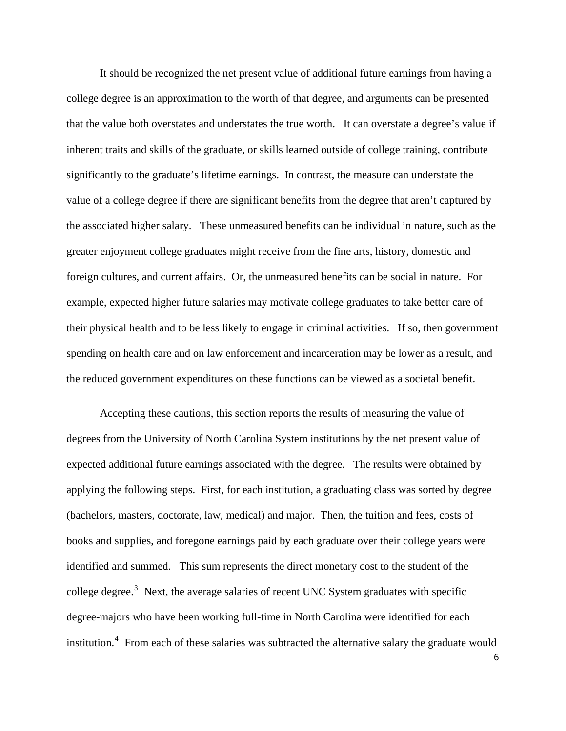<span id="page-5-0"></span> It should be recognized the net present value of additional future earnings from having a college degree is an approximation to the worth of that degree, and arguments can be presented that the value both overstates and understates the true worth. It can overstate a degree's value if inherent traits and skills of the graduate, or skills learned outside of college training, contribute significantly to the graduate's lifetime earnings. In contrast, the measure can understate the value of a college degree if there are significant benefits from the degree that aren't captured by the associated higher salary. These unmeasured benefits can be individual in nature, such as the greater enjoyment college graduates might receive from the fine arts, history, domestic and foreign cultures, and current affairs. Or, the unmeasured benefits can be social in nature. For example, expected higher future salaries may motivate college graduates to take better care of their physical health and to be less likely to engage in criminal activities. If so, then government spending on health care and on law enforcement and incarceration may be lower as a result, and the reduced government expenditures on these functions can be viewed as a societal benefit.

 Accepting these cautions, this section reports the results of measuring the value of degrees from the University of North Carolina System institutions by the net present value of expected additional future earnings associated with the degree. The results were obtained by applying the following steps. First, for each institution, a graduating class was sorted by degree (bachelors, masters, doctorate, law, medical) and major. Then, the tuition and fees, costs of books and supplies, and foregone earnings paid by each graduate over their college years were identified and summed. This sum represents the direct monetary cost to the student of the college degree.<sup>[3](#page-3-1)</sup> Next, the average salaries of recent UNC System graduates with specific degree-majors who have been working full-time in North Carolina were identified for each institution.<sup>[4](#page-3-1)</sup> From each of these salaries was subtracted the alternative salary the graduate would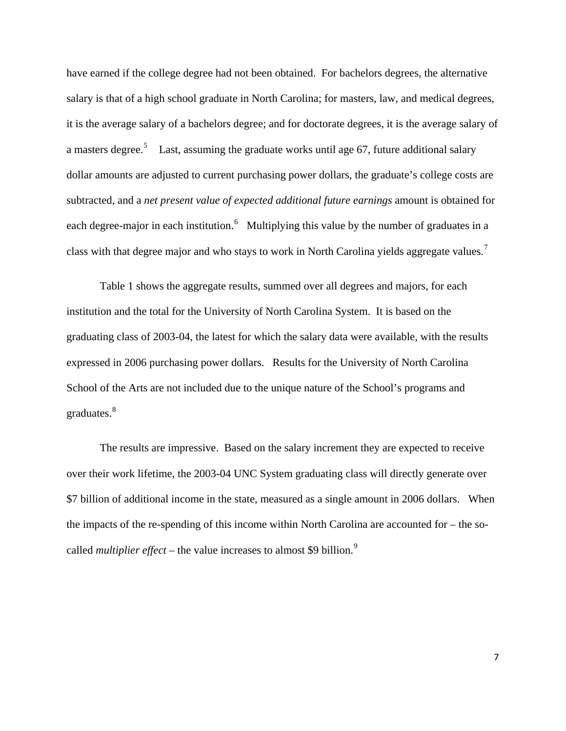have earned if the college degree had not been obtained. For bachelors degrees, the alternative salary is that of a high school graduate in North Carolina; for masters, law, and medical degrees, it is the average salary of a bachelors degree; and for doctorate degrees, it is the average salary of a masters degree.<sup>[5](#page-3-1)</sup> Last, assuming the graduate works until age 67, future additional salary dollar amounts are adjusted to current purchasing power dollars, the graduate's college costs are subtracted, and a *net present value of expected additional future earnings* amount is obtained for each degree-major in each institution.<sup>[6](#page-4-0)</sup> Multiplying this value by the number of graduates in a class with that degree major and who stays to work in North Carolina yields aggregate values.<sup>[7](#page-4-0)</sup>

 Table 1 shows the aggregate results, summed over all degrees and majors, for each institution and the total for the University of North Carolina System. It is based on the graduating class of 2003-04, the latest for which the salary data were available, with the results expressed in 2006 purchasing power dollars. Results for the University of North Carolina School of the Arts are not included due to the unique nature of the School's programs and graduates.<sup>[8](#page-4-0)</sup>

 The results are impressive. Based on the salary increment they are expected to receive over their work lifetime, the 2003-04 UNC System graduating class will directly generate over \$7 billion of additional income in the state, measured as a single amount in 2006 dollars. When the impacts of the re-spending of this income within North Carolina are accounted for – the socalled *multiplier effect* – the value increases to almost \$[9](#page-4-0) billion.<sup>9</sup>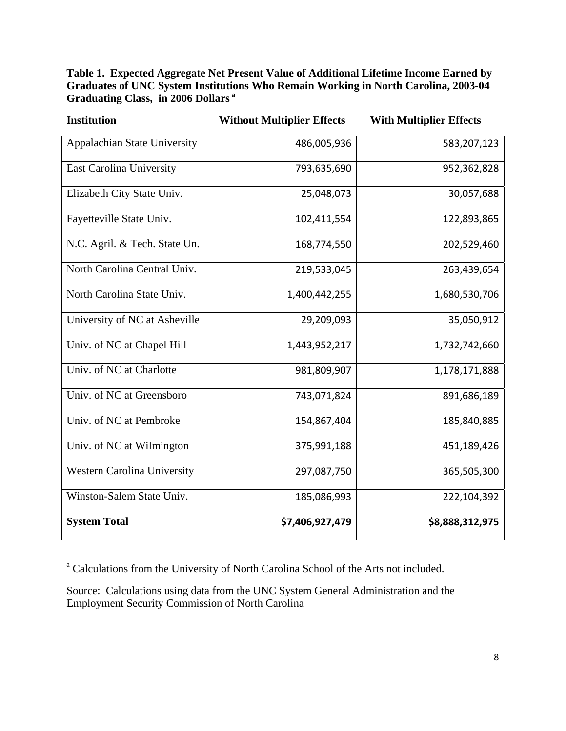**Table 1. Expected Aggregate Net Present Value of Additional Lifetime Income Earned by Graduates of UNC System Institutions Who Remain Working in North Carolina, 2003-04 Graduating Class, in 2006 Dollars<sup>a</sup>**

| <b>Institution</b>              | <b>Without Multiplier Effects</b> | <b>With Multiplier Effects</b> |
|---------------------------------|-----------------------------------|--------------------------------|
| Appalachian State University    | 486,005,936                       | 583,207,123                    |
| <b>East Carolina University</b> | 793,635,690                       | 952,362,828                    |
| Elizabeth City State Univ.      | 25,048,073                        | 30,057,688                     |
| Fayetteville State Univ.        | 102,411,554                       | 122,893,865                    |
| N.C. Agril. & Tech. State Un.   | 168,774,550                       | 202,529,460                    |
| North Carolina Central Univ.    | 219,533,045                       | 263,439,654                    |
| North Carolina State Univ.      | 1,400,442,255                     | 1,680,530,706                  |
| University of NC at Asheville   | 29,209,093                        | 35,050,912                     |
| Univ. of NC at Chapel Hill      | 1,443,952,217                     | 1,732,742,660                  |
| Univ. of NC at Charlotte        | 981,809,907                       | 1,178,171,888                  |
| Univ. of NC at Greensboro       | 743,071,824                       | 891,686,189                    |
| Univ. of NC at Pembroke         | 154,867,404                       | 185,840,885                    |
| Univ. of NC at Wilmington       | 375,991,188                       | 451,189,426                    |
| Western Carolina University     | 297,087,750                       | 365,505,300                    |
| Winston-Salem State Univ.       | 185,086,993                       | 222,104,392                    |
| <b>System Total</b>             | \$7,406,927,479                   | \$8,888,312,975                |

<sup>a</sup> Calculations from the University of North Carolina School of the Arts not included.

Source: Calculations using data from the UNC System General Administration and the Employment Security Commission of North Carolina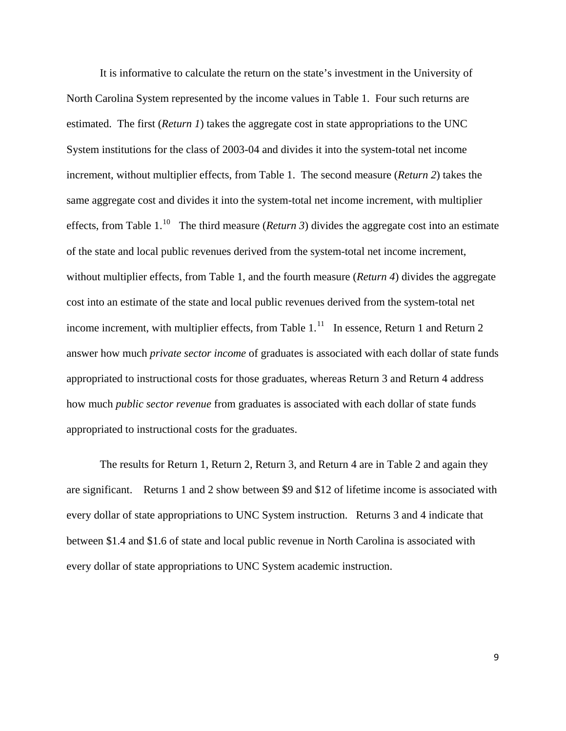It is informative to calculate the return on the state's investment in the University of North Carolina System represented by the income values in Table 1. Four such returns are estimated. The first (*Return 1*) takes the aggregate cost in state appropriations to the UNC System institutions for the class of 2003-04 and divides it into the system-total net income increment, without multiplier effects, from Table 1. The second measure (*Return 2*) takes the same aggregate cost and divides it into the system-total net income increment, with multiplier effects, from Table 1.<sup>[10](#page-4-0)</sup> The third measure (*Return 3*) divides the aggregate cost into an estimate of the state and local public revenues derived from the system-total net income increment, without multiplier effects, from Table 1, and the fourth measure (*Return 4*) divides the aggregate cost into an estimate of the state and local public revenues derived from the system-total net income increment, with multiplier effects, from Table  $1<sup>11</sup>$  $1<sup>11</sup>$  $1<sup>11</sup>$  In essence, Return 1 and Return 2 answer how much *private sector income* of graduates is associated with each dollar of state funds appropriated to instructional costs for those graduates, whereas Return 3 and Return 4 address how much *public sector revenue* from graduates is associated with each dollar of state funds appropriated to instructional costs for the graduates.

 The results for Return 1, Return 2, Return 3, and Return 4 are in Table 2 and again they are significant. Returns 1 and 2 show between \$9 and \$12 of lifetime income is associated with every dollar of state appropriations to UNC System instruction. Returns 3 and 4 indicate that between \$1.4 and \$1.6 of state and local public revenue in North Carolina is associated with every dollar of state appropriations to UNC System academic instruction.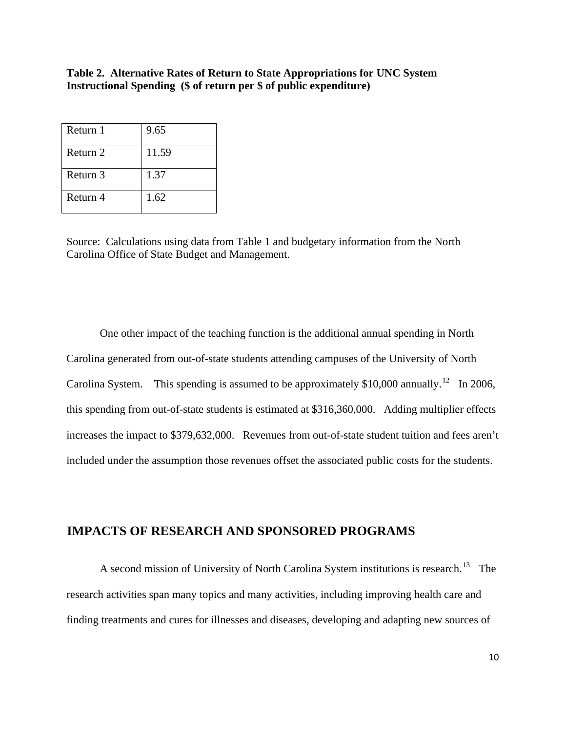#### **Table 2. Alternative Rates of Return to State Appropriations for UNC System Instructional Spending (\$ of return per \$ of public expenditure)**

| Return 1 | 9.65  |
|----------|-------|
| Return 2 | 11.59 |
| Return 3 | 1.37  |
| Return 4 | 1.62  |

 Source: Calculations using data from Table 1 and budgetary information from the North Carolina Office of State Budget and Management.

 One other impact of the teaching function is the additional annual spending in North Carolina generated from out-of-state students attending campuses of the University of North Carolina System. This spending is assumed to be approximately  $$10,000$  annually.<sup>[12](#page-4-0)</sup> In 2006, this spending from out-of-state students is estimated at \$316,360,000. Adding multiplier effects increases the impact to \$379,632,000. Revenues from out-of-state student tuition and fees aren't included under the assumption those revenues offset the associated public costs for the students.

# **IMPACTS OF RESEARCH AND SPONSORED PROGRAMS**

A second mission of University of North Carolina System institutions is research.<sup>[13](#page-5-0)</sup> The research activities span many topics and many activities, including improving health care and finding treatments and cures for illnesses and diseases, developing and adapting new sources of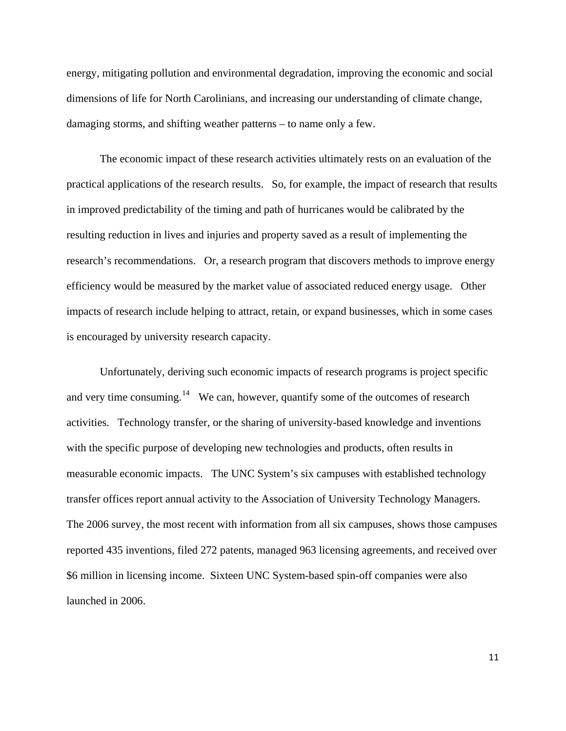energy, mitigating pollution and environmental degradation, improving the economic and social dimensions of life for North Carolinians, and increasing our understanding of climate change, damaging storms, and shifting weather patterns – to name only a few.

 The economic impact of these research activities ultimately rests on an evaluation of the practical applications of the research results. So, for example, the impact of research that results in improved predictability of the timing and path of hurricanes would be calibrated by the resulting reduction in lives and injuries and property saved as a result of implementing the research's recommendations. Or, a research program that discovers methods to improve energy efficiency would be measured by the market value of associated reduced energy usage. Other impacts of research include helping to attract, retain, or expand businesses, which in some cases is encouraged by university research capacity.

 Unfortunately, deriving such economic impacts of research programs is project specific and very time consuming.<sup>[14](#page-5-0)</sup> We can, however, quantify some of the outcomes of research activities. Technology transfer, or the sharing of university-based knowledge and inventions with the specific purpose of developing new technologies and products, often results in measurable economic impacts. The UNC System's six campuses with established technology transfer offices report annual activity to the Association of University Technology Managers. The 2006 survey, the most recent with information from all six campuses, shows those campuses reported 435 inventions, filed 272 patents, managed 963 licensing agreements, and received over \$6 million in licensing income. Sixteen UNC System-based spin-off companies were also launched in 2006.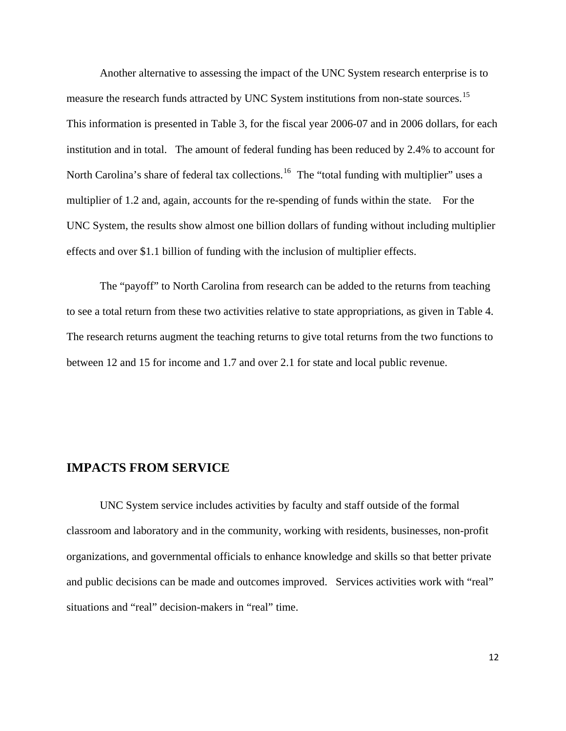Another alternative to assessing the impact of the UNC System research enterprise is to measure the research funds attracted by UNC System institutions from non-state sources.<sup>[15](#page-5-0)</sup> This information is presented in Table 3, for the fiscal year 2006-07 and in 2006 dollars, for each institution and in total. The amount of federal funding has been reduced by 2.4% to account for North Carolina's share of federal tax collections.<sup>[16](#page-5-0)</sup> The "total funding with multiplier" uses a multiplier of 1.2 and, again, accounts for the re-spending of funds within the state. For the UNC System, the results show almost one billion dollars of funding without including multiplier effects and over \$1.1 billion of funding with the inclusion of multiplier effects.

 The "payoff" to North Carolina from research can be added to the returns from teaching to see a total return from these two activities relative to state appropriations, as given in Table 4. The research returns augment the teaching returns to give total returns from the two functions to between 12 and 15 for income and 1.7 and over 2.1 for state and local public revenue.

### **IMPACTS FROM SERVICE**

 UNC System service includes activities by faculty and staff outside of the formal classroom and laboratory and in the community, working with residents, businesses, non-profit organizations, and governmental officials to enhance knowledge and skills so that better private and public decisions can be made and outcomes improved. Services activities work with "real" situations and "real" decision-makers in "real" time.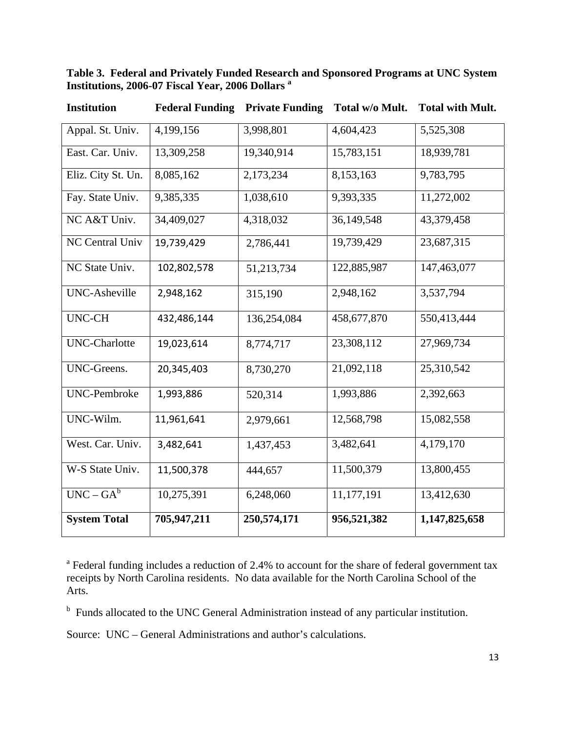## **Table 3. Federal and Privately Funded Research and Sponsored Programs at UNC System Institutions, 2006-07 Fiscal Year, 2006 Dollars a**

| Institution          | <b>Federal Funding</b> | <b>Private Funding</b> | <b>TOTAL W/O MILL.</b> | <b>TOTAL WITH MILL.</b> |
|----------------------|------------------------|------------------------|------------------------|-------------------------|
| Appal. St. Univ.     | 4,199,156              | 3,998,801              | 4,604,423              | 5,525,308               |
| East. Car. Univ.     | 13,309,258             | 19,340,914             | 15,783,151             | 18,939,781              |
| Eliz. City St. Un.   | 8,085,162              | 2,173,234              | 8,153,163              | 9,783,795               |
| Fay. State Univ.     | 9,385,335              | 1,038,610              | 9,393,335              | 11,272,002              |
| NC A&T Univ.         | 34,409,027             | 4,318,032              | 36,149,548             | 43,379,458              |
| NC Central Univ      | 19,739,429             | 2,786,441              | 19,739,429             | 23,687,315              |
| NC State Univ.       | 102,802,578            | 51,213,734             | 122,885,987            | 147,463,077             |
| UNC-Asheville        | 2,948,162              | 315,190                | 2,948,162              | 3,537,794               |
| <b>UNC-CH</b>        | 432,486,144            | 136,254,084            | 458,677,870            | 550,413,444             |
| <b>UNC-Charlotte</b> | 19,023,614             | 8,774,717              | 23,308,112             | 27,969,734              |
| UNC-Greens.          | 20,345,403             | 8,730,270              | 21,092,118             | 25,310,542              |
| <b>UNC-Pembroke</b>  | 1,993,886              | 520,314                | 1,993,886              | 2,392,663               |
| UNC-Wilm.            | 11,961,641             | 2,979,661              | 12,568,798             | 15,082,558              |
| West. Car. Univ.     | 3,482,641              | 1,437,453              | 3,482,641              | 4,179,170               |
| W-S State Univ.      | 11,500,378             | 444,657                | 11,500,379             | 13,800,455              |
| $UNC - GA^b$         | 10,275,391             | 6,248,060              | 11,177,191             | 13,412,630              |
| <b>System Total</b>  | 705,947,211            | 250,574,171            | 956,521,382            | 1,147,825,658           |

 **Institution Federal Funding Private Funding Total w/o Mult. Total with Mult.** 

<sup>a</sup> Federal funding includes a reduction of 2.4% to account for the share of federal government tax receipts by North Carolina residents. No data available for the North Carolina School of the Arts.

<sup>b</sup> Funds allocated to the UNC General Administration instead of any particular institution.

Source: UNC – General Administrations and author's calculations.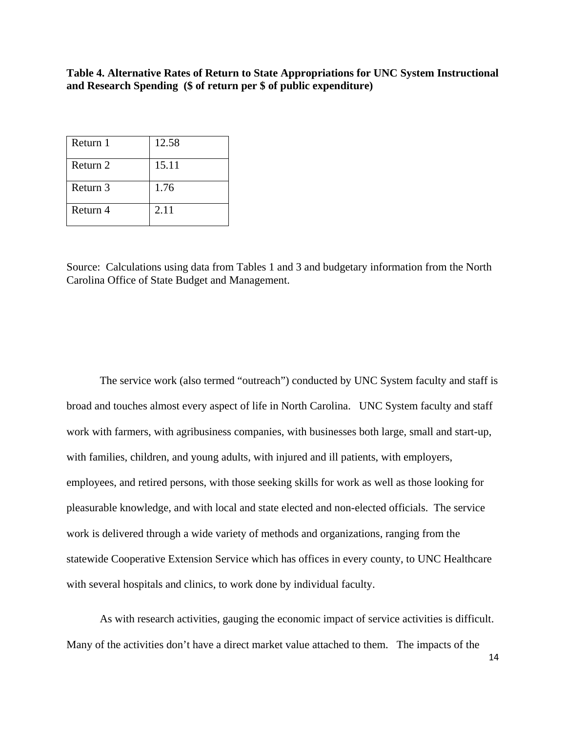**Table 4. Alternative Rates of Return to State Appropriations for UNC System Instructional and Research Spending (\$ of return per \$ of public expenditure)**

| Return 1 | 12.58 |
|----------|-------|
| Return 2 | 15.11 |
| Return 3 | 1.76  |
| Return 4 | 2.11  |

Source: Calculations using data from Tables 1 and 3 and budgetary information from the North Carolina Office of State Budget and Management.

 The service work (also termed "outreach") conducted by UNC System faculty and staff is broad and touches almost every aspect of life in North Carolina. UNC System faculty and staff work with farmers, with agribusiness companies, with businesses both large, small and start-up, with families, children, and young adults, with injured and ill patients, with employers, employees, and retired persons, with those seeking skills for work as well as those looking for pleasurable knowledge, and with local and state elected and non-elected officials. The service work is delivered through a wide variety of methods and organizations, ranging from the statewide Cooperative Extension Service which has offices in every county, to UNC Healthcare with several hospitals and clinics, to work done by individual faculty.

 As with research activities, gauging the economic impact of service activities is difficult. Many of the activities don't have a direct market value attached to them. The impacts of the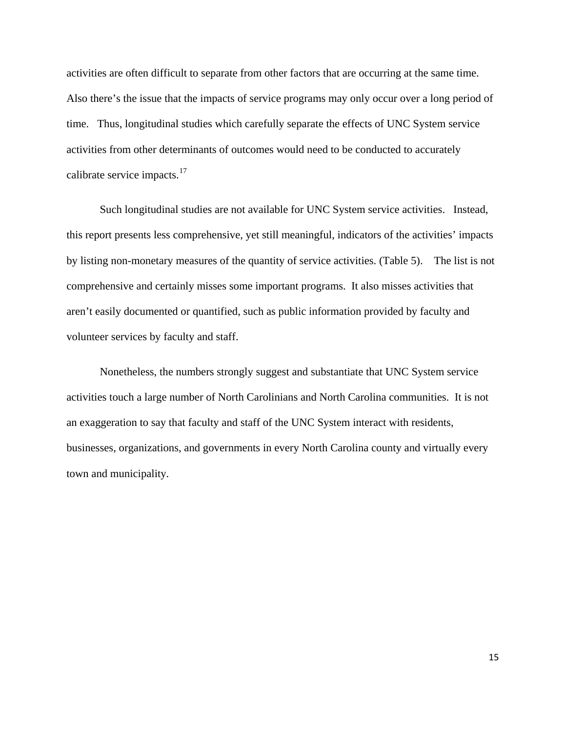activities are often difficult to separate from other factors that are occurring at the same time. Also there's the issue that the impacts of service programs may only occur over a long period of time. Thus, longitudinal studies which carefully separate the effects of UNC System service activities from other determinants of outcomes would need to be conducted to accurately calibrate service impacts.<sup>[17](#page-5-0)</sup>

 Such longitudinal studies are not available for UNC System service activities. Instead, this report presents less comprehensive, yet still meaningful, indicators of the activities' impacts by listing non-monetary measures of the quantity of service activities. (Table 5). The list is not comprehensive and certainly misses some important programs. It also misses activities that aren't easily documented or quantified, such as public information provided by faculty and volunteer services by faculty and staff.

 Nonetheless, the numbers strongly suggest and substantiate that UNC System service activities touch a large number of North Carolinians and North Carolina communities. It is not an exaggeration to say that faculty and staff of the UNC System interact with residents, businesses, organizations, and governments in every North Carolina county and virtually every town and municipality.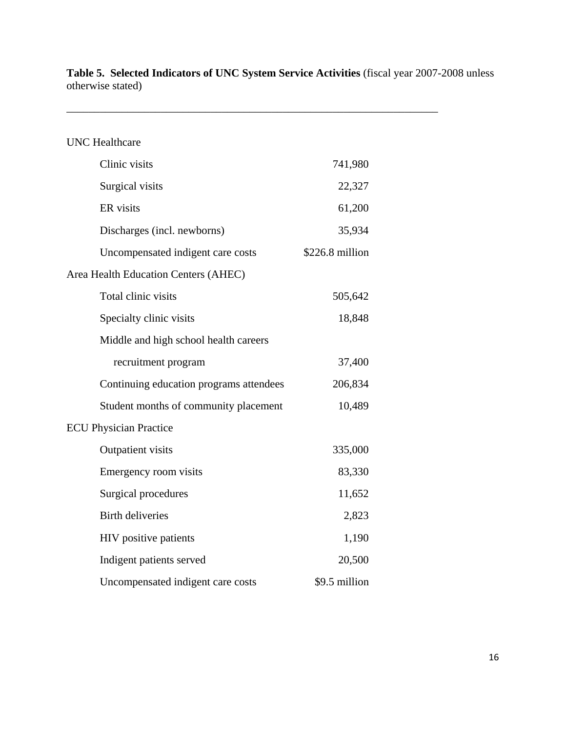**Table 5. Selected Indicators of UNC System Service Activities** (fiscal year 2007-2008 unless otherwise stated)

\_\_\_\_\_\_\_\_\_\_\_\_\_\_\_\_\_\_\_\_\_\_\_\_\_\_\_\_\_\_\_\_\_\_\_\_\_\_\_\_\_\_\_\_\_\_\_\_\_\_\_\_\_\_\_\_\_\_\_\_\_\_\_\_\_\_\_

| <b>UNC</b> Healthcare                   |                 |
|-----------------------------------------|-----------------|
| Clinic visits                           | 741,980         |
| Surgical visits                         | 22,327          |
| ER visits                               | 61,200          |
| Discharges (incl. newborns)             | 35,934          |
| Uncompensated indigent care costs       | \$226.8 million |
| Area Health Education Centers (AHEC)    |                 |
| Total clinic visits                     | 505,642         |
| Specialty clinic visits                 | 18,848          |
| Middle and high school health careers   |                 |
| recruitment program                     | 37,400          |
| Continuing education programs attendees | 206,834         |
| Student months of community placement   | 10,489          |
| <b>ECU Physician Practice</b>           |                 |
| Outpatient visits                       | 335,000         |
| Emergency room visits                   | 83,330          |
| Surgical procedures                     | 11,652          |
| <b>Birth deliveries</b>                 | 2,823           |
| HIV positive patients                   | 1,190           |
| Indigent patients served                | 20,500          |
| Uncompensated indigent care costs       | \$9.5 million   |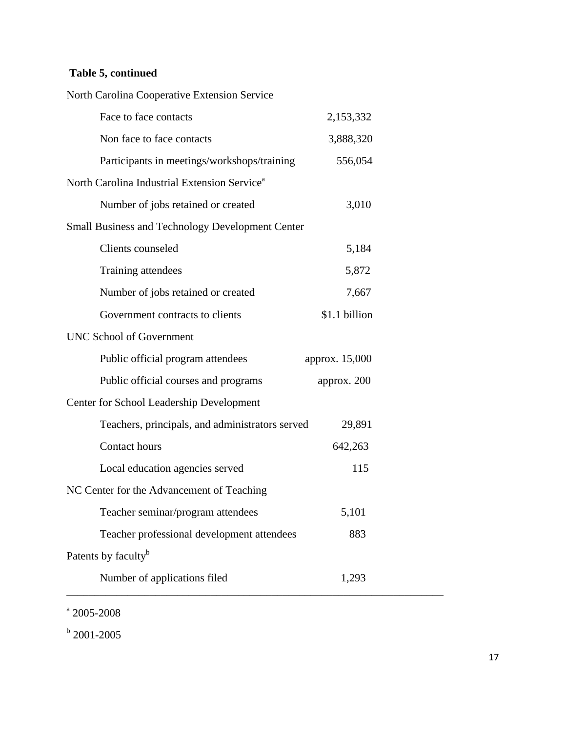# **Table 5, continued**

| North Carolina Cooperative Extension Service             |                |
|----------------------------------------------------------|----------------|
| Face to face contacts                                    | 2,153,332      |
| Non face to face contacts                                | 3,888,320      |
| Participants in meetings/workshops/training              | 556,054        |
| North Carolina Industrial Extension Service <sup>a</sup> |                |
| Number of jobs retained or created                       | 3,010          |
| <b>Small Business and Technology Development Center</b>  |                |
| Clients counseled                                        | 5,184          |
| Training attendees                                       | 5,872          |
| Number of jobs retained or created                       | 7,667          |
| Government contracts to clients                          | \$1.1 billion  |
| <b>UNC School of Government</b>                          |                |
| Public official program attendees                        | approx. 15,000 |
| Public official courses and programs                     | approx. 200    |
| Center for School Leadership Development                 |                |
| Teachers, principals, and administrators served          | 29,891         |
| Contact hours                                            | 642,263        |
| Local education agencies served                          | 115            |
| NC Center for the Advancement of Teaching                |                |
| Teacher seminar/program attendees                        | 5,101          |
| Teacher professional development attendees               | 883            |
|                                                          |                |
| Patents by faculty <sup>b</sup>                          |                |

 $a$  2005-2008

 $b$  2001-2005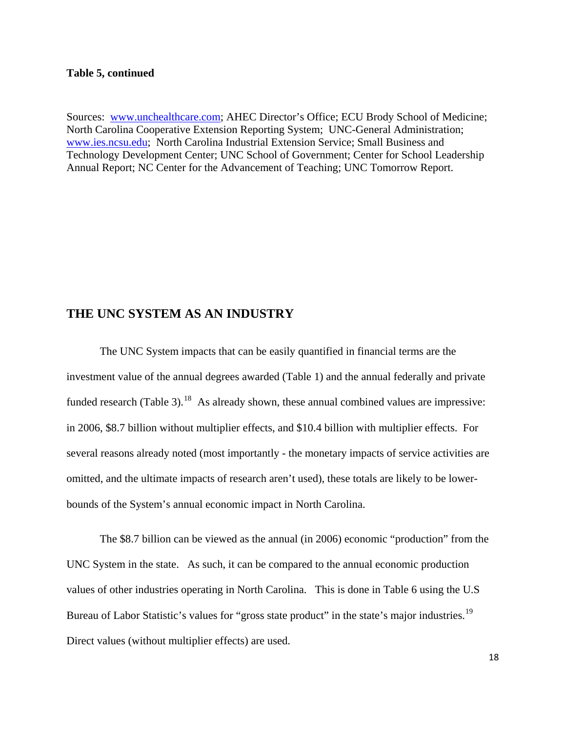#### **Table 5, continued**

 Sources: [www.unchealthcare.com;](http://www.unchealthcare.com/) AHEC Director's Office; ECU Brody School of Medicine; North Carolina Cooperative Extension Reporting System; UNC-General Administration; [www.ies.ncsu.edu;](http://www.ies.ncsu.edu/) North Carolina Industrial Extension Service; Small Business and Technology Development Center; UNC School of Government; Center for School Leadership Annual Report; NC Center for the Advancement of Teaching; UNC Tomorrow Report.

## **THE UNC SYSTEM AS AN INDUSTRY**

The UNC System impacts that can be easily quantified in financial terms are the investment value of the annual degrees awarded (Table 1) and the annual federally and private funded research (Table 3).<sup>[18](#page-5-0)</sup> As already shown, these annual combined values are impressive: in 2006, \$8.7 billion without multiplier effects, and \$10.4 billion with multiplier effects. Fo r several reasons already noted (most importantly - the monetary impacts of service activities are omitted, and the ultimate impacts of research aren't used), these totals are likely to be lowerbounds of the System's annual economic impact in North Carolina.

 The \$8.7 billion can be viewed as the annual (in 2006) economic "production" from the UNC System in the state. As such, it can be compared to the annual economic production values of other industries operating in North Carolina. This is done in Table 6 using the U.S Bureau of Labor Statistic's values for "gross state product" in the state's major industries.<sup>[19](#page-5-0)</sup> Direct values (without multiplier effects) are used.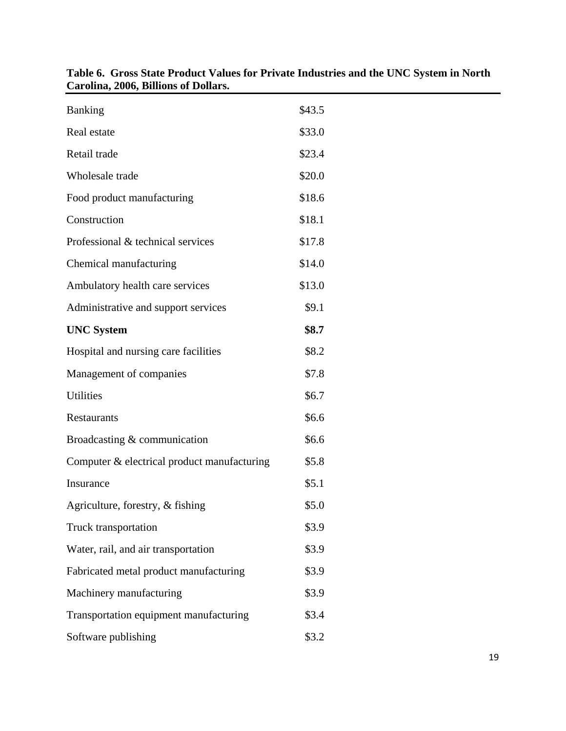| $\alpha$ oning $\alpha$ over $\beta$ into the order of |        |
|--------------------------------------------------------|--------|
| Banking                                                | \$43.5 |
| Real estate                                            | \$33.0 |
| Retail trade                                           | \$23.4 |
| Wholesale trade                                        | \$20.0 |
| Food product manufacturing                             | \$18.6 |
| Construction                                           | \$18.1 |
| Professional & technical services                      | \$17.8 |
| Chemical manufacturing                                 | \$14.0 |
| Ambulatory health care services                        | \$13.0 |
| Administrative and support services                    | \$9.1  |
| <b>UNC System</b>                                      | \$8.7  |
| Hospital and nursing care facilities                   | \$8.2  |
| Management of companies                                | \$7.8  |
| Utilities                                              | \$6.7  |
| Restaurants                                            | \$6.6  |
| Broadcasting & communication                           | \$6.6  |
| Computer & electrical product manufacturing            | \$5.8  |
| Insurance                                              | \$5.1  |
| Agriculture, forestry, & fishing                       | \$5.0  |
| Truck transportation                                   | \$3.9  |
| Water, rail, and air transportation                    | \$3.9  |
| Fabricated metal product manufacturing                 | \$3.9  |
| Machinery manufacturing                                | \$3.9  |
| Transportation equipment manufacturing                 | \$3.4  |
| Software publishing                                    | \$3.2  |

| Table 6. Gross State Product Values for Private Industries and the UNC System in North |
|----------------------------------------------------------------------------------------|
| Carolina, 2006, Billions of Dollars.                                                   |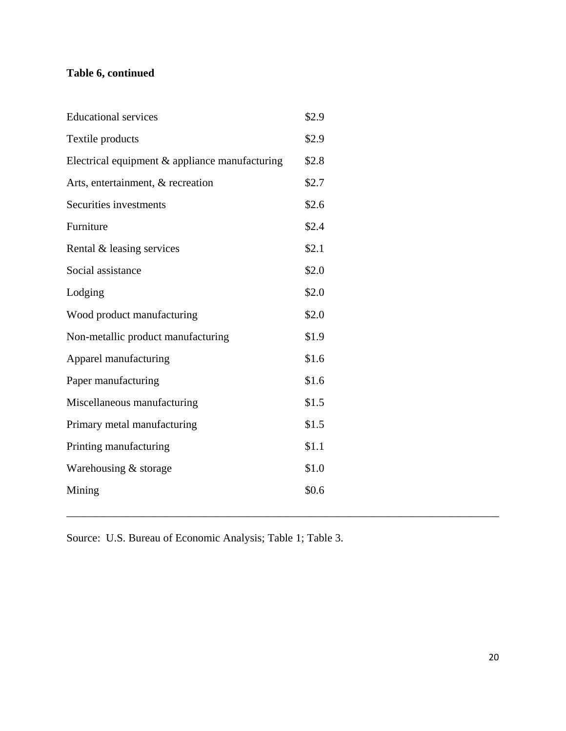# **Table 6, continued**

| <b>Educational services</b>                    | \$2.9 |
|------------------------------------------------|-------|
| Textile products                               | \$2.9 |
| Electrical equipment & appliance manufacturing | \$2.8 |
| Arts, entertainment, & recreation              | \$2.7 |
| Securities investments                         | \$2.6 |
| Furniture                                      | \$2.4 |
| Rental & leasing services                      | \$2.1 |
| Social assistance                              | \$2.0 |
| Lodging                                        | \$2.0 |
| Wood product manufacturing                     | \$2.0 |
| Non-metallic product manufacturing             | \$1.9 |
| Apparel manufacturing                          | \$1.6 |
| Paper manufacturing                            | \$1.6 |
| Miscellaneous manufacturing                    | \$1.5 |
| Primary metal manufacturing                    | \$1.5 |
| Printing manufacturing                         | \$1.1 |
| Warehousing & storage                          | \$1.0 |
| Mining                                         | \$0.6 |

Source: U.S. Bureau of Economic Analysis; Table 1; Table 3.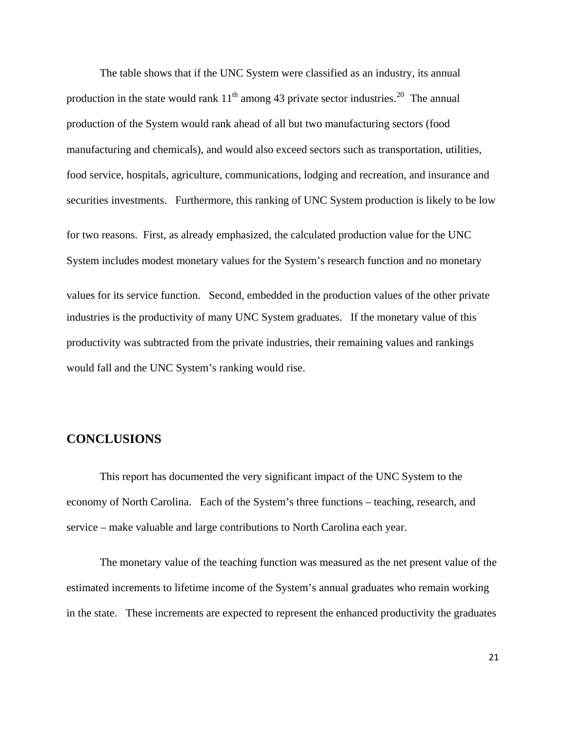The table shows that if the UNC System were classified as an industry, its annual production in the state would rank  $11<sup>th</sup>$  among 43 private sector industries.<sup>[20](#page-5-0)</sup> The annual production of the System would rank ahead of all but two manufacturing sectors (food manufacturing and chemicals), and would also exceed sectors such as transportation, utilities, food service, hospitals, agriculture, communications, lodging and recreation, and insurance and securities investments. Furthermore, this ranking of UNC System production is likely to be low for two reasons. First, as already emphasized, the calculated production value for the UNC System includes modest monetary values for the System's research function and no monetary values for its service function. Second, embedded in the production values of the other private industries is the productivity of many UNC System graduates. If the monetary value of this productivity was subtracted from the private industries, their remaining values and rankings would fall and the UNC System's ranking would rise.

# **CONCLUSIONS**

This report has documented the very significant impact of the UNC System to the economy of North Carolina. Each of the System's three functions – teaching, research, and service – make valuable and large contributions to North Carolina each year.

 The monetary value of the teaching function was measured as the net present value of the estimated increments to lifetime income of the System's annual graduates who remain working in the state. These increments are expected to represent the enhanced productivity the graduates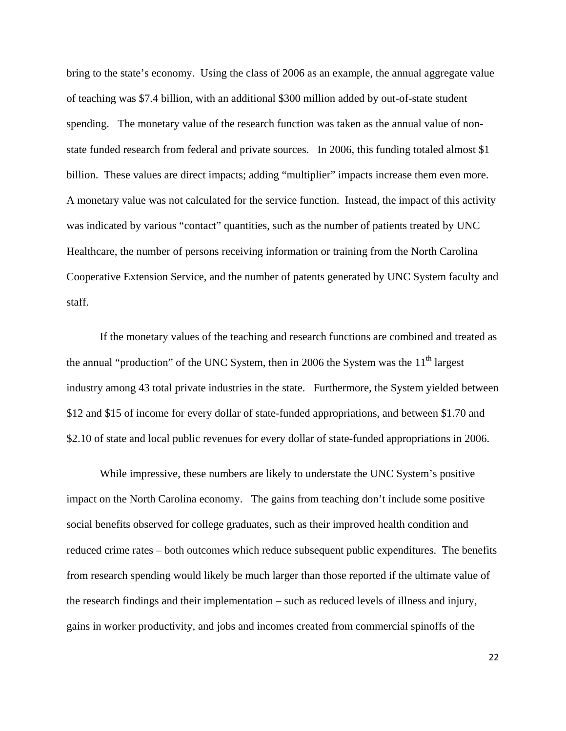bring to the state's economy. Using the class of 2006 as an example, the annual aggregate value of teaching was \$7.4 billion, with an additional \$300 million added by out-of-state student spending. The monetary value of the research function was taken as the annual value of nonstate funded research from federal and private sources. In 2006, this funding totaled almost \$1 billion. These values are direct impacts; adding "multiplier" impacts increase them even more. A monetary value was not calculated for the service function. Instead, the impact of this activity was indicated by various "contact" quantities, such as the number of patients treated by UNC Healthcare, the number of persons receiving information or training from the North Carolina Cooperative Extension Service, and the number of patents generated by UNC System faculty and staff.

If the monetary values of the teaching and research functions are combined and treated as the annual "production" of the UNC System, then in 2006 the System was the  $11<sup>th</sup>$  largest industry among 43 total private industries in the state. Furthermore, the System yielded between \$12 and \$15 of income for every dollar of state-funded appropriations, and between \$1.70 and \$2.10 of state and local public revenues for every dollar of state-funded appropriations in 2006.

While impressive, these numbers are likely to understate the UNC System's positive impact on the North Carolina economy. The gains from teaching don't include some positive social benefits observed for college graduates, such as their improved health condition and reduced crime rates – both outcomes which reduce subsequent public expenditures. The benefits from research spending would likely be much larger than those reported if the ultimate value of the research findings and their implementation – such as reduced levels of illness and injury, gains in worker productivity, and jobs and incomes created from commercial spinoffs of the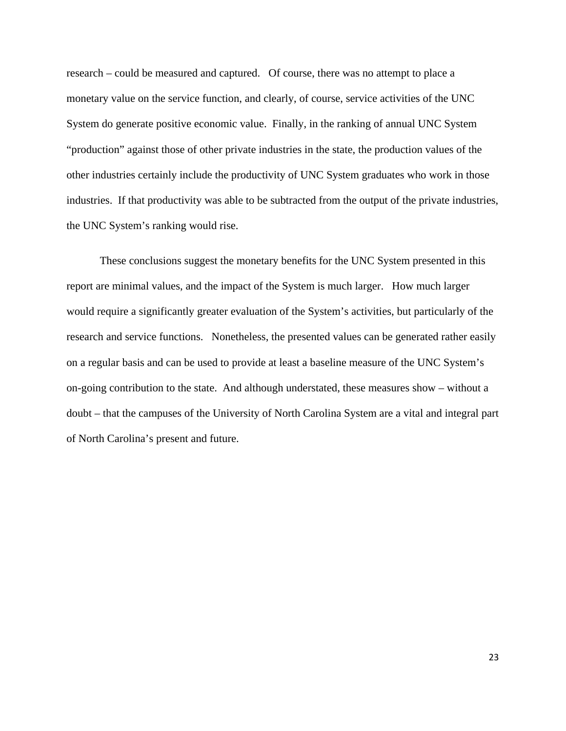research – could be measured and captured. Of course, there was no attempt to place a monetary value on the service function, and clearly, of course, service activities of the UNC System do generate positive economic value. Finally, in the ranking of annual UNC System "production" against those of other private industries in the state, the production values of the other industries certainly include the productivity of UNC System graduates who work in those industries. If that productivity was able to be subtracted from the output of the private industries, the UNC System's ranking would rise.

These conclusions suggest the monetary benefits for the UNC System presented in this report are minimal values, and the impact of the System is much larger. How much larger would require a significantly greater evaluation of the System's activities, but particularly of the research and service functions. Nonetheless, the presented values can be generated rather easily on a regular basis and can be used to provide at least a baseline measure of the UNC System's on-going contribution to the state. And although understated, these measures show – without a doubt – that the campuses of the University of North Carolina System are a vital and integral part of North Carolina's present and future.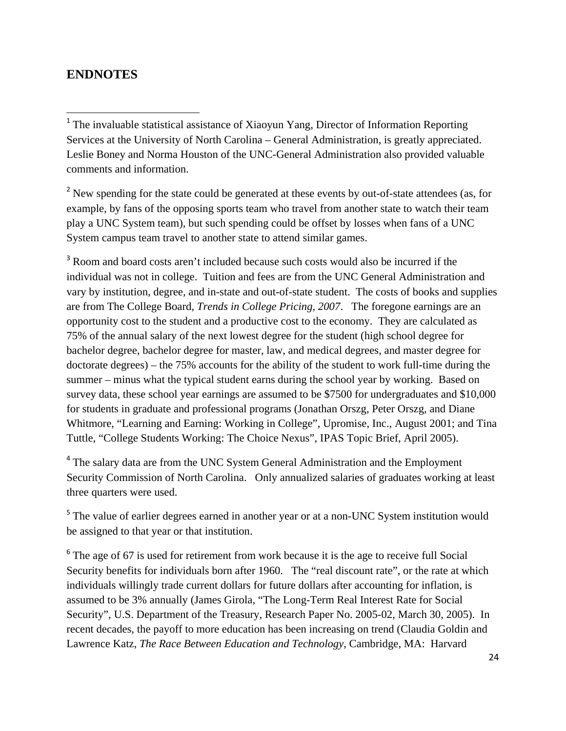# **ENDNOTES**

<sup>2</sup> New spending for the state could be generated at these events by out-of-state attendees (as, for example, by fans of the opposing sports team who travel from another state to watch their team play a UNC System team), but such spending could be offset by losses when fans of a UNC System campus team travel to another state to attend similar games.

<sup>3</sup> Room and board costs aren't included because such costs would also be incurred if the individual was not in college. Tuition and fees are from the UNC General Administration and vary by institution, degree, and in-state and out-of-state student. The costs of books and supplies are from The College Board, *Trends in College Pricing, 2007*. The foregone earnings are an opportunity cost to the student and a productive cost to the economy. They are calculated as 75% of the annual salary of the next lowest degree for the student (high school degree for bachelor degree, bachelor degree for master, law, and medical degrees, and master degree for doctorate degrees) – the 75% accounts for the ability of the student to work full-time during the summer – minus what the typical student earns during the school year by working. Based on survey data, these school year earnings are assumed to be \$7500 for undergraduates and \$10,000 for students in graduate and professional programs (Jonathan Orszg, Peter Orszg, and Diane Whitmore, "Learning and Earning: Working in College", Upromise, Inc., August 2001; and Tina Tuttle, "College Students Working: The Choice Nexus", IPAS Topic Brief, April 2005).

<sup>4</sup> The salary data are from the UNC System General Administration and the Employment Security Commission of North Carolina. Only annualized salaries of graduates working at least three quarters were used.

<sup>5</sup> The value of earlier degrees earned in another year or at a non-UNC System institution would be assigned to that year or that institution.

<sup>6</sup> The age of 67 is used for retirement from work because it is the age to receive full Social Security benefits for individuals born after 1960. The "real discount rate", or the rate at which individuals willingly trade current dollars for future dollars after accounting for inflation, is assumed to be 3% annually (James Girola, "The Long-Term Real Interest Rate for Social Security", U.S. Department of the Treasury, Research Paper No. 2005-02, March 30, 2005). In recent decades, the payoff to more education has been increasing on trend (Claudia Goldin and Lawrence Katz, *The Race Between Education and Technology*, Cambridge, MA: Harvard

<sup>&</sup>lt;sup>1</sup> The invaluable statistical assistance of Xiaoyun Yang, Director of Information Reporting Services at the University of North Carolina – General Administration, is greatly appreciated. Leslie Boney and Norma Houston of the UNC-General Administration also provided valuable comments and information.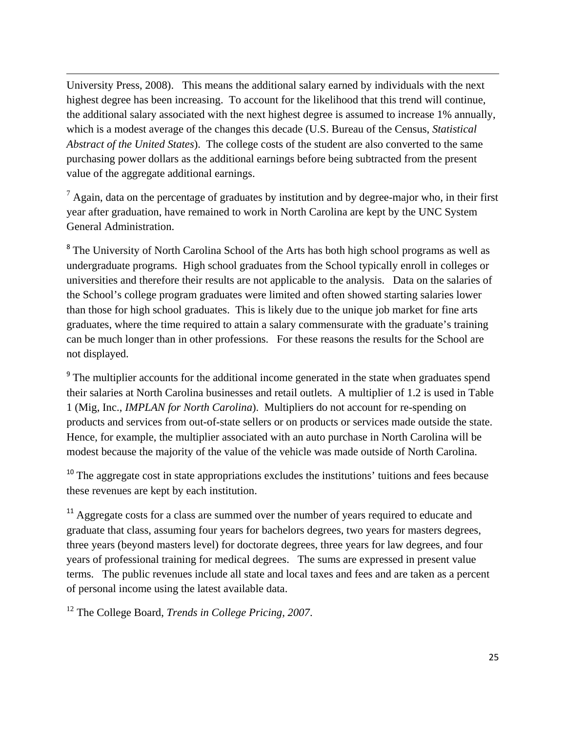University Press, 2008). This means the additional salary earned by individuals with the next highest degree has been increasing. To account for the likelihood that this trend will continue, the additional salary associated with the next highest degree is assumed to increase 1% annually, which is a modest average of the changes this decade (U.S. Bureau of the Census, *Statistical Abstract of the United States*). The college costs of the student are also converted to the same purchasing power dollars as the additional earnings before being subtracted from the present value of the aggregate additional earnings.

<u> Andrewski politika (za obrazu za obrazu za obrazu za obrazu za obrazu za obrazu za obrazu za obrazu za obrazu</u>

 $<sup>7</sup>$  Again, data on the percentage of graduates by institution and by degree-major who, in their first</sup> year after graduation, have remained to work in North Carolina are kept by the UNC System General Administration.

<sup>8</sup> The University of North Carolina School of the Arts has both high school programs as well as undergraduate programs. High school graduates from the School typically enroll in colleges or universities and therefore their results are not applicable to the analysis. Data on the salaries of the School's college program graduates were limited and often showed starting salaries lower than those for high school graduates. This is likely due to the unique job market for fine arts graduates, where the time required to attain a salary commensurate with the graduate's training can be much longer than in other professions. For these reasons the results for the School are not displayed.

<sup>9</sup> The multiplier accounts for the additional income generated in the state when graduates spend their salaries at North Carolina businesses and retail outlets. A multiplier of 1.2 is used in Table 1 (Mig, Inc., *IMPLAN for North Carolina*). Multipliers do not account for re-spending on products and services from out-of-state sellers or on products or services made outside the state. Hence, for example, the multiplier associated with an auto purchase in North Carolina will be modest because the majority of the value of the vehicle was made outside of North Carolina.

<sup>10</sup> The aggregate cost in state appropriations excludes the institutions' tuitions and fees because these revenues are kept by each institution.

<sup>11</sup> Aggregate costs for a class are summed over the number of years required to educate and graduate that class, assuming four years for bachelors degrees, two years for masters degrees, three years (beyond masters level) for doctorate degrees, three years for law degrees, and four years of professional training for medical degrees. The sums are expressed in present value terms. The public revenues include all state and local taxes and fees and are taken as a percent of personal income using the latest available data.

12 The College Board, *Trends in College Pricing, 2007*.